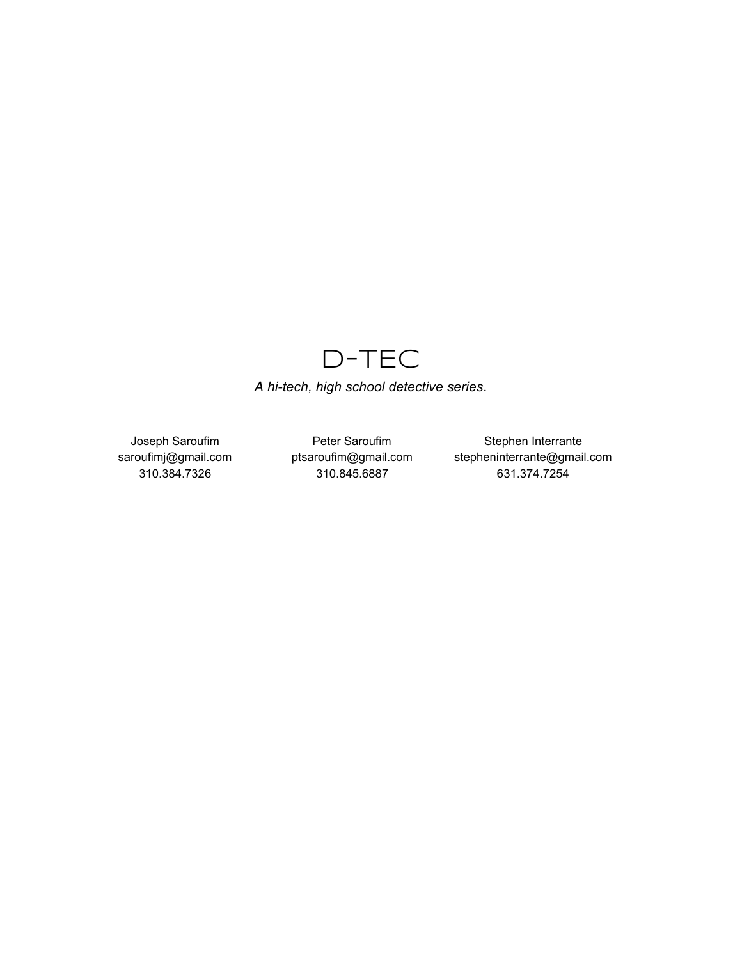# D-TEC

*A hitech, high school detective series*.

Joseph Saroufim saroufimj@gmail.com 310.384.7326

Peter Saroufim ptsaroufim@gmail.com 310.845.6887

Stephen Interrante stepheninterrante@gmail.com 631.374.7254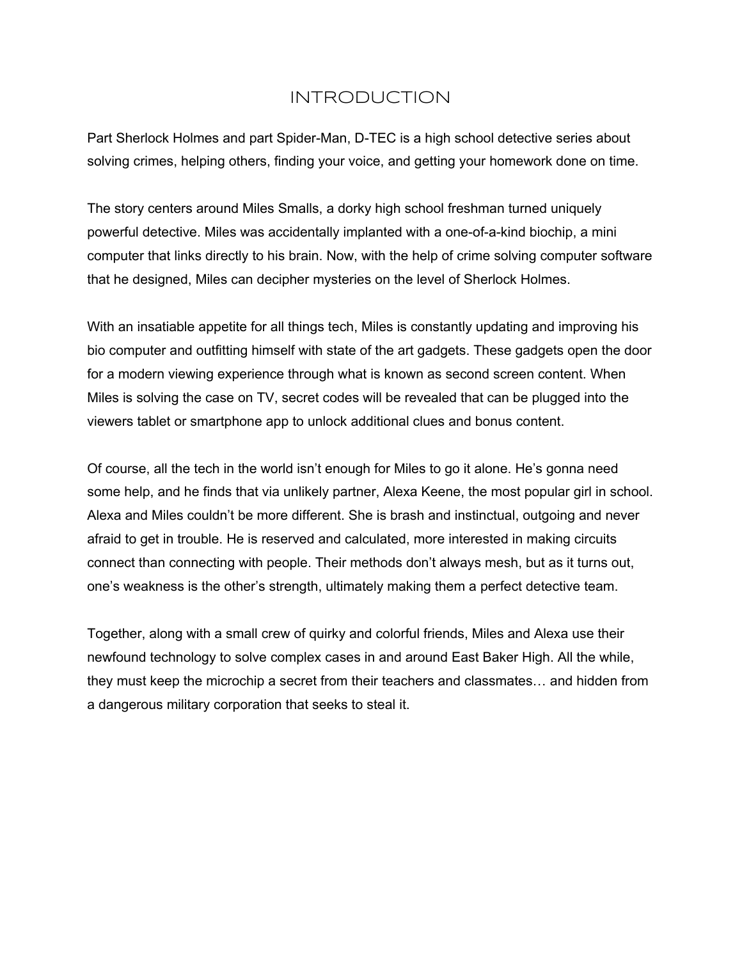# INTRODUCTION

Part Sherlock Holmes and part Spider-Man, D-TEC is a high school detective series about solving crimes, helping others, finding your voice, and getting your homework done on time.

The story centers around Miles Smalls, a dorky high school freshman turned uniquely powerful detective. Miles was accidentally implanted with a one-of-a-kind biochip, a mini computer that links directly to his brain. Now, with the help of crime solving computer software that he designed, Miles can decipher mysteries on the level of Sherlock Holmes.

With an insatiable appetite for all things tech, Miles is constantly updating and improving his bio computer and outfitting himself with state of the art gadgets. These gadgets open the door for a modern viewing experience through what is known as second screen content. When Miles is solving the case on TV, secret codes will be revealed that can be plugged into the viewers tablet or smartphone app to unlock additional clues and bonus content.

Of course, all the tech in the world isn't enough for Miles to go it alone. He's gonna need some help, and he finds that via unlikely partner, Alexa Keene, the most popular girl in school. Alexa and Miles couldn't be more different. She is brash and instinctual, outgoing and never afraid to get in trouble. He is reserved and calculated, more interested in making circuits connect than connecting with people. Their methods don't always mesh, but as it turns out, one's weakness is the other's strength, ultimately making them a perfect detective team.

Together, along with a small crew of quirky and colorful friends, Miles and Alexa use their newfound technology to solve complex cases in and around East Baker High. All the while, they must keep the microchip a secret from their teachers and classmates… and hidden from a dangerous military corporation that seeks to steal it.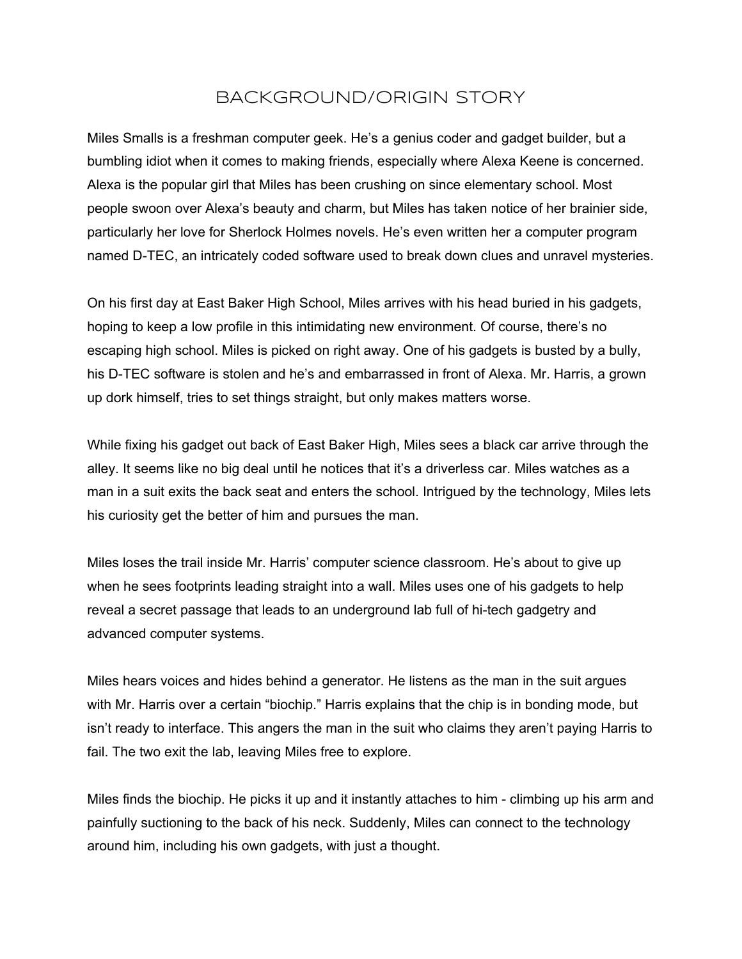# BACKGROUND/ORIGIN STORY

Miles Smalls is a freshman computer geek. He's a genius coder and gadget builder, but a bumbling idiot when it comes to making friends, especially where Alexa Keene is concerned. Alexa is the popular girl that Miles has been crushing on since elementary school. Most people swoon over Alexa's beauty and charm, but Miles has taken notice of her brainier side, particularly her love for Sherlock Holmes novels. He's even written her a computer program named D-TEC, an intricately coded software used to break down clues and unravel mysteries.

On his first day at East Baker High School, Miles arrives with his head buried in his gadgets, hoping to keep a low profile in this intimidating new environment. Of course, there's no escaping high school. Miles is picked on right away. One of his gadgets is busted by a bully, his D-TEC software is stolen and he's and embarrassed in front of Alexa. Mr. Harris, a grown up dork himself, tries to set things straight, but only makes matters worse.

While fixing his gadget out back of East Baker High, Miles sees a black car arrive through the alley. It seems like no big deal until he notices that it's a driverless car. Miles watches as a man in a suit exits the back seat and enters the school. Intrigued by the technology, Miles lets his curiosity get the better of him and pursues the man.

Miles loses the trail inside Mr. Harris' computer science classroom. He's about to give up when he sees footprints leading straight into a wall. Miles uses one of his gadgets to help reveal a secret passage that leads to an underground lab full of hi-tech gadgetry and advanced computer systems.

Miles hears voices and hides behind a generator. He listens as the man in the suit argues with Mr. Harris over a certain "biochip." Harris explains that the chip is in bonding mode, but isn't ready to interface. This angers the man in the suit who claims they aren't paying Harris to fail. The two exit the lab, leaving Miles free to explore.

Miles finds the biochip. He picks it up and it instantly attaches to him - climbing up his arm and painfully suctioning to the back of his neck. Suddenly, Miles can connect to the technology around him, including his own gadgets, with just a thought.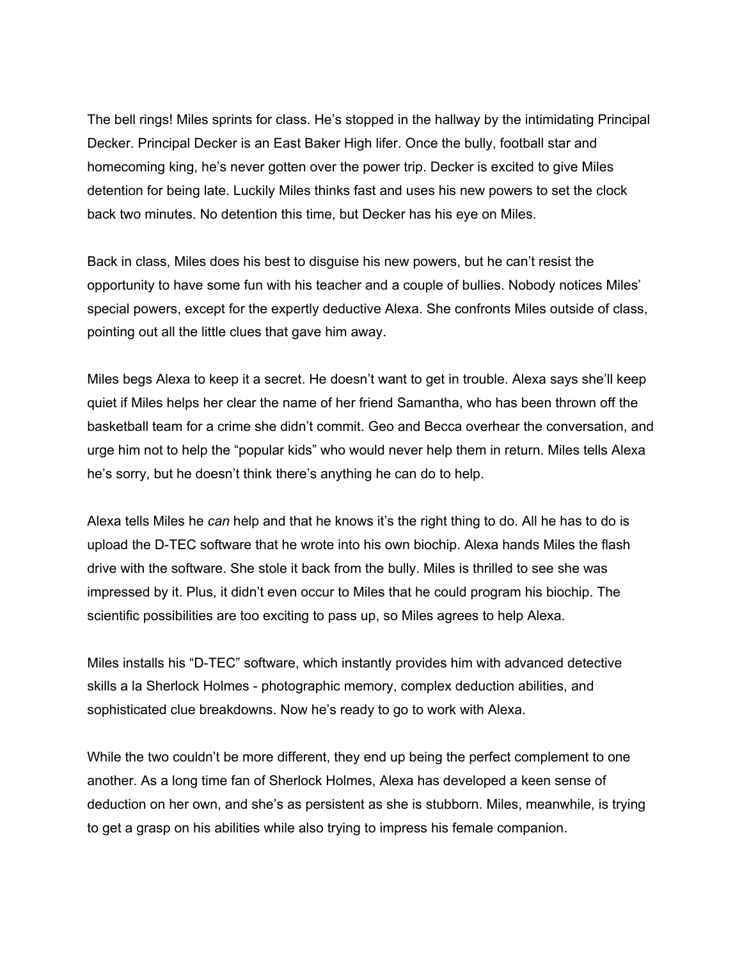The bell rings! Miles sprints for class. He's stopped in the hallway by the intimidating Principal Decker. Principal Decker is an East Baker High lifer. Once the bully, football star and homecoming king, he's never gotten over the power trip. Decker is excited to give Miles detention for being late. Luckily Miles thinks fast and uses his new powers to set the clock back two minutes. No detention this time, but Decker has his eye on Miles.

Back in class, Miles does his best to disguise his new powers, but he can't resist the opportunity to have some fun with his teacher and a couple of bullies. Nobody notices Miles' special powers, except for the expertly deductive Alexa. She confronts Miles outside of class, pointing out all the little clues that gave him away.

Miles begs Alexa to keep it a secret. He doesn't want to get in trouble. Alexa says she'll keep quiet if Miles helps her clear the name of her friend Samantha, who has been thrown off the basketball team for a crime she didn't commit. Geo and Becca overhear the conversation, and urge him not to help the "popular kids" who would never help them in return. Miles tells Alexa he's sorry, but he doesn't think there's anything he can do to help.

Alexa tells Miles he *can* help and that he knows it's the right thing to do. All he has to do is upload the D-TEC software that he wrote into his own biochip. Alexa hands Miles the flash drive with the software. She stole it back from the bully. Miles is thrilled to see she was impressed by it. Plus, it didn't even occur to Miles that he could program his biochip. The scientific possibilities are too exciting to pass up, so Miles agrees to help Alexa.

Miles installs his "D-TEC" software, which instantly provides him with advanced detective skills a la Sherlock Holmes - photographic memory, complex deduction abilities, and sophisticated clue breakdowns. Now he's ready to go to work with Alexa.

While the two couldn't be more different, they end up being the perfect complement to one another. As a long time fan of Sherlock Holmes, Alexa has developed a keen sense of deduction on her own, and she's as persistent as she is stubborn. Miles, meanwhile, is trying to get a grasp on his abilities while also trying to impress his female companion.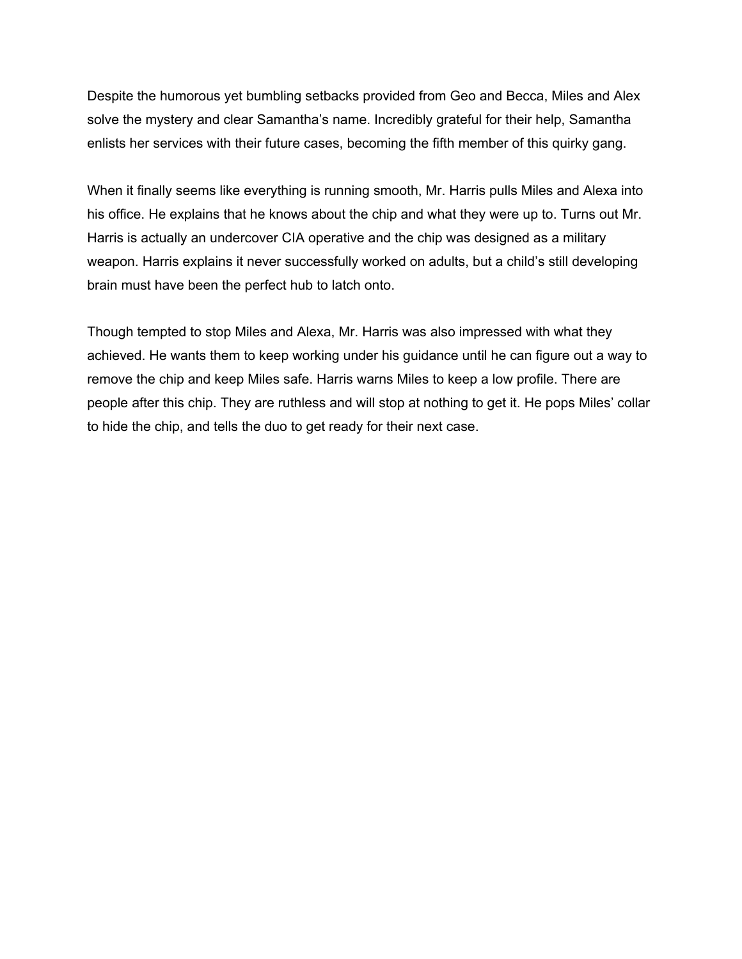Despite the humorous yet bumbling setbacks provided from Geo and Becca, Miles and Alex solve the mystery and clear Samantha's name. Incredibly grateful for their help, Samantha enlists her services with their future cases, becoming the fifth member of this quirky gang.

When it finally seems like everything is running smooth, Mr. Harris pulls Miles and Alexa into his office. He explains that he knows about the chip and what they were up to. Turns out Mr. Harris is actually an undercover CIA operative and the chip was designed as a military weapon. Harris explains it never successfully worked on adults, but a child's still developing brain must have been the perfect hub to latch onto.

Though tempted to stop Miles and Alexa, Mr. Harris was also impressed with what they achieved. He wants them to keep working under his guidance until he can figure out a way to remove the chip and keep Miles safe. Harris warns Miles to keep a low profile. There are people after this chip. They are ruthless and will stop at nothing to get it. He pops Miles' collar to hide the chip, and tells the duo to get ready for their next case.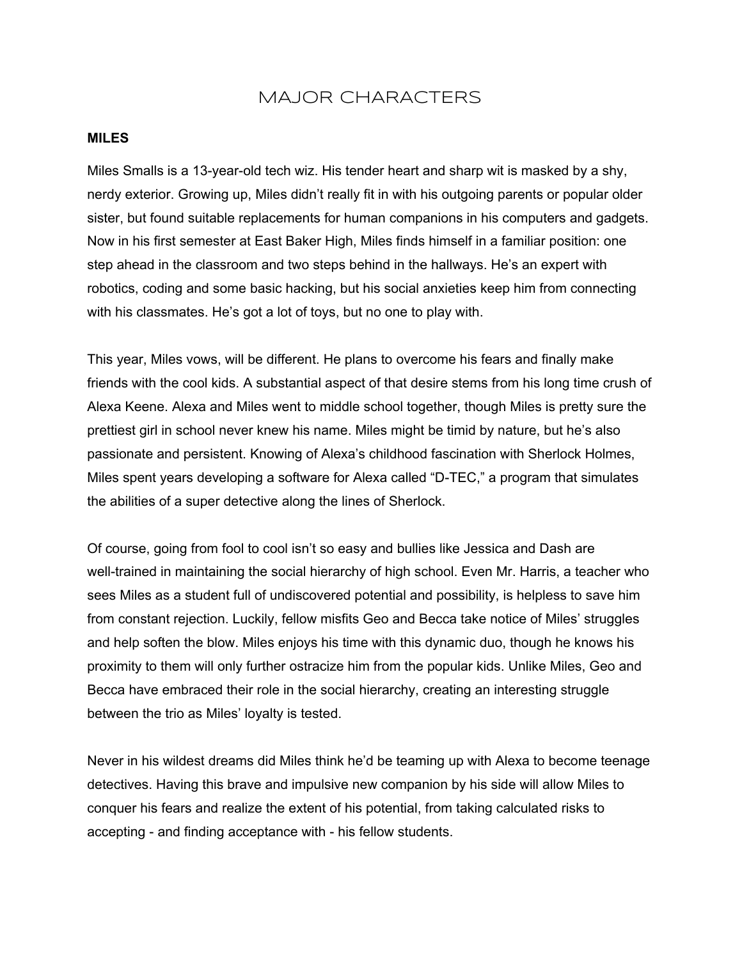### MAJOR CHARACTERS

#### **MILES**

Miles Smalls is a 13-year-old tech wiz. His tender heart and sharp wit is masked by a shy, nerdy exterior. Growing up, Miles didn't really fit in with his outgoing parents or popular older sister, but found suitable replacements for human companions in his computers and gadgets. Now in his first semester at East Baker High, Miles finds himself in a familiar position: one step ahead in the classroom and two steps behind in the hallways. He's an expert with robotics, coding and some basic hacking, but his social anxieties keep him from connecting with his classmates. He's got a lot of toys, but no one to play with.

This year, Miles vows, will be different. He plans to overcome his fears and finally make friends with the cool kids. A substantial aspect of that desire stems from his long time crush of Alexa Keene. Alexa and Miles went to middle school together, though Miles is pretty sure the prettiest girl in school never knew his name. Miles might be timid by nature, but he's also passionate and persistent. Knowing of Alexa's childhood fascination with Sherlock Holmes, Miles spent years developing a software for Alexa called "D-TEC," a program that simulates the abilities of a super detective along the lines of Sherlock.

Of course, going from fool to cool isn't so easy and bullies like Jessica and Dash are well-trained in maintaining the social hierarchy of high school. Even Mr. Harris, a teacher who sees Miles as a student full of undiscovered potential and possibility, is helpless to save him from constant rejection. Luckily, fellow misfits Geo and Becca take notice of Miles' struggles and help soften the blow. Miles enjoys his time with this dynamic duo, though he knows his proximity to them will only further ostracize him from the popular kids. Unlike Miles, Geo and Becca have embraced their role in the social hierarchy, creating an interesting struggle between the trio as Miles' loyalty is tested.

Never in his wildest dreams did Miles think he'd be teaming up with Alexa to become teenage detectives. Having this brave and impulsive new companion by his side will allow Miles to conquer his fears and realize the extent of his potential, from taking calculated risks to accepting - and finding acceptance with - his fellow students.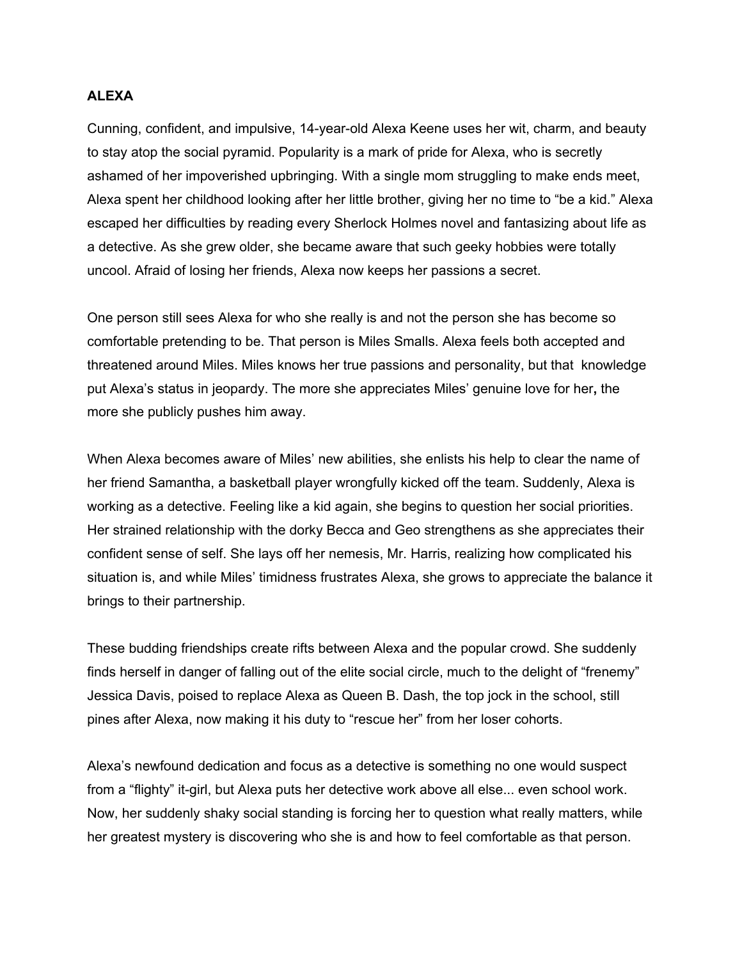#### **ALEXA**

Cunning, confident, and impulsive, 14-year-old Alexa Keene uses her wit, charm, and beauty to stay atop the social pyramid. Popularity is a mark of pride for Alexa, who is secretly ashamed of her impoverished upbringing. With a single mom struggling to make ends meet, Alexa spent her childhood looking after her little brother, giving her no time to "be a kid." Alexa escaped her difficulties by reading every Sherlock Holmes novel and fantasizing about life as a detective. As she grew older, she became aware that such geeky hobbies were totally uncool. Afraid of losing her friends, Alexa now keeps her passions a secret.

One person still sees Alexa for who she really is and not the person she has become so comfortable pretending to be. That person is Miles Smalls. Alexa feels both accepted and threatened around Miles. Miles knows her true passions and personality, but that knowledge put Alexa's status in jeopardy. The more she appreciates Miles' genuine love for her**,** the more she publicly pushes him away.

When Alexa becomes aware of Miles' new abilities, she enlists his help to clear the name of her friend Samantha, a basketball player wrongfully kicked off the team. Suddenly, Alexa is working as a detective. Feeling like a kid again, she begins to question her social priorities. Her strained relationship with the dorky Becca and Geo strengthens as she appreciates their confident sense of self. She lays off her nemesis, Mr. Harris, realizing how complicated his situation is, and while Miles' timidness frustrates Alexa, she grows to appreciate the balance it brings to their partnership.

These budding friendships create rifts between Alexa and the popular crowd. She suddenly finds herself in danger of falling out of the elite social circle, much to the delight of "frenemy" Jessica Davis, poised to replace Alexa as Queen B. Dash, the top jock in the school, still pines after Alexa, now making it his duty to "rescue her" from her loser cohorts.

Alexa's newfound dedication and focus as a detective is something no one would suspect from a "flighty" it-girl, but Alexa puts her detective work above all else... even school work. Now, her suddenly shaky social standing is forcing her to question what really matters, while her greatest mystery is discovering who she is and how to feel comfortable as that person.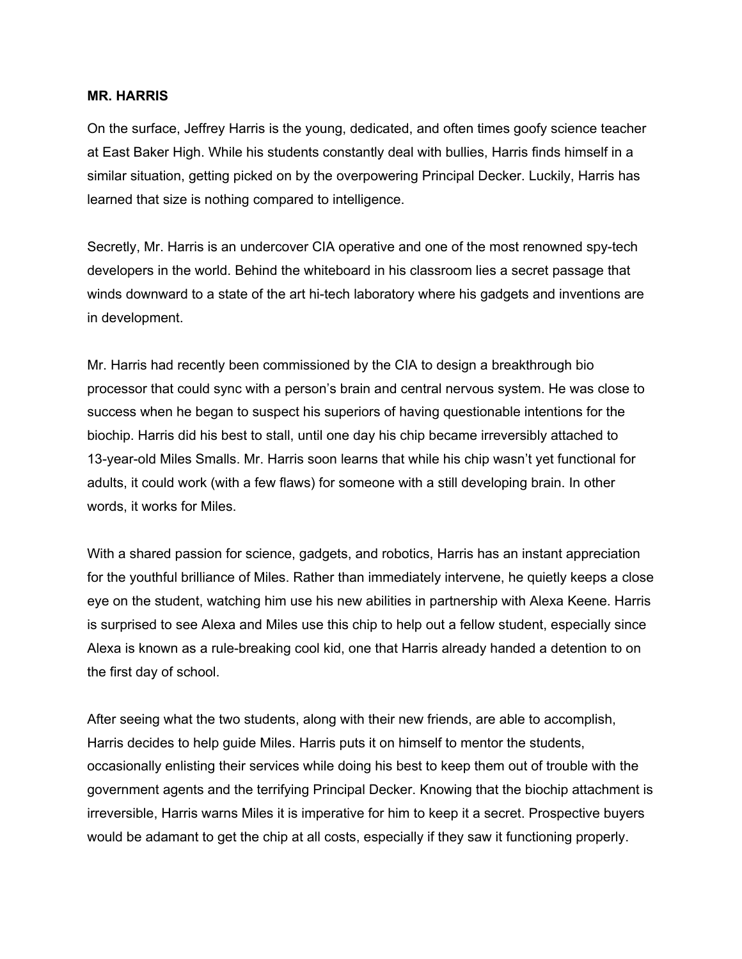#### **MR. HARRIS**

On the surface, Jeffrey Harris is the young, dedicated, and often times goofy science teacher at East Baker High. While his students constantly deal with bullies, Harris finds himself in a similar situation, getting picked on by the overpowering Principal Decker. Luckily, Harris has learned that size is nothing compared to intelligence.

Secretly, Mr. Harris is an undercover CIA operative and one of the most renowned spytech developers in the world. Behind the whiteboard in his classroom lies a secret passage that winds downward to a state of the art hi-tech laboratory where his gadgets and inventions are in development.

Mr. Harris had recently been commissioned by the CIA to design a breakthrough bio processor that could sync with a person's brain and central nervous system. He was close to success when he began to suspect his superiors of having questionable intentions for the biochip. Harris did his best to stall, until one day his chip became irreversibly attached to 13-year-old Miles Smalls. Mr. Harris soon learns that while his chip wasn't yet functional for adults, it could work (with a few flaws) for someone with a still developing brain. In other words, it works for Miles.

With a shared passion for science, gadgets, and robotics, Harris has an instant appreciation for the youthful brilliance of Miles. Rather than immediately intervene, he quietly keeps a close eye on the student, watching him use his new abilities in partnership with Alexa Keene. Harris is surprised to see Alexa and Miles use this chip to help out a fellow student, especially since Alexa is known as a rule-breaking cool kid, one that Harris already handed a detention to on the first day of school.

After seeing what the two students, along with their new friends, are able to accomplish, Harris decides to help guide Miles. Harris puts it on himself to mentor the students, occasionally enlisting their services while doing his best to keep them out of trouble with the government agents and the terrifying Principal Decker. Knowing that the biochip attachment is irreversible, Harris warns Miles it is imperative for him to keep it a secret. Prospective buyers would be adamant to get the chip at all costs, especially if they saw it functioning properly.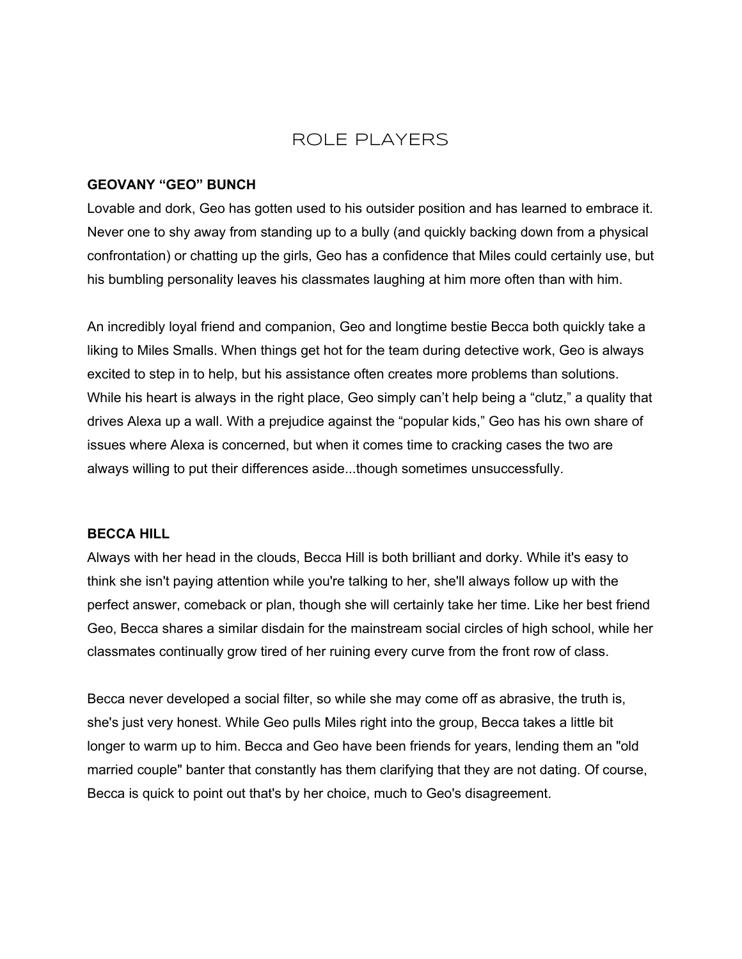### ROLE PLAYERS

#### **GEOVANY "GEO" BUNCH**

Lovable and dork, Geo has gotten used to his outsider position and has learned to embrace it. Never one to shy away from standing up to a bully (and quickly backing down from a physical confrontation) or chatting up the girls, Geo has a confidence that Miles could certainly use, but his bumbling personality leaves his classmates laughing at him more often than with him.

An incredibly loyal friend and companion, Geo and longtime bestie Becca both quickly take a liking to Miles Smalls. When things get hot for the team during detective work, Geo is always excited to step in to help, but his assistance often creates more problems than solutions. While his heart is always in the right place, Geo simply can't help being a "clutz," a quality that drives Alexa up a wall. With a prejudice against the "popular kids," Geo has his own share of issues where Alexa is concerned, but when it comes time to cracking cases the two are always willing to put their differences aside...though sometimes unsuccessfully.

#### **BECCA HILL**

Always with her head in the clouds, Becca Hill is both brilliant and dorky. While it's easy to think she isn't paying attention while you're talking to her, she'll always follow up with the perfect answer, comeback or plan, though she will certainly take her time. Like her best friend Geo, Becca shares a similar disdain for the mainstream social circles of high school, while her classmates continually grow tired of her ruining every curve from the front row of class.

Becca never developed a social filter, so while she may come off as abrasive, the truth is, she's just very honest. While Geo pulls Miles right into the group, Becca takes a little bit longer to warm up to him. Becca and Geo have been friends for years, lending them an "old married couple" banter that constantly has them clarifying that they are not dating. Of course, Becca is quick to point out that's by her choice, much to Geo's disagreement.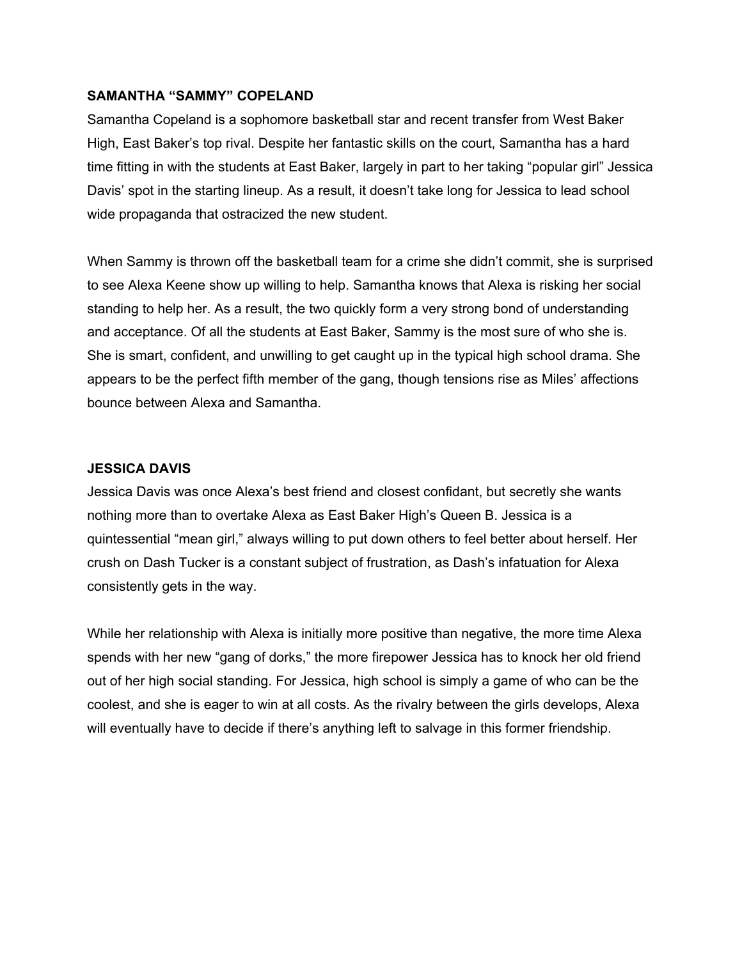#### **SAMANTHA "SAMMY" COPELAND**

Samantha Copeland is a sophomore basketball star and recent transfer from West Baker High, East Baker's top rival. Despite her fantastic skills on the court, Samantha has a hard time fitting in with the students at East Baker, largely in part to her taking "popular girl" Jessica Davis' spot in the starting lineup. As a result, it doesn't take long for Jessica to lead school wide propaganda that ostracized the new student.

When Sammy is thrown off the basketball team for a crime she didn't commit, she is surprised to see Alexa Keene show up willing to help. Samantha knows that Alexa is risking her social standing to help her. As a result, the two quickly form a very strong bond of understanding and acceptance. Of all the students at East Baker, Sammy is the most sure of who she is. She is smart, confident, and unwilling to get caught up in the typical high school drama. She appears to be the perfect fifth member of the gang, though tensions rise as Miles' affections bounce between Alexa and Samantha.

#### **JESSICA DAVIS**

Jessica Davis was once Alexa's best friend and closest confidant, but secretly she wants nothing more than to overtake Alexa as East Baker High's Queen B. Jessica is a quintessential "mean girl," always willing to put down others to feel better about herself. Her crush on Dash Tucker is a constant subject of frustration, as Dash's infatuation for Alexa consistently gets in the way.

While her relationship with Alexa is initially more positive than negative, the more time Alexa spends with her new "gang of dorks," the more firepower Jessica has to knock her old friend out of her high social standing. For Jessica, high school is simply a game of who can be the coolest, and she is eager to win at all costs. As the rivalry between the girls develops, Alexa will eventually have to decide if there's anything left to salvage in this former friendship.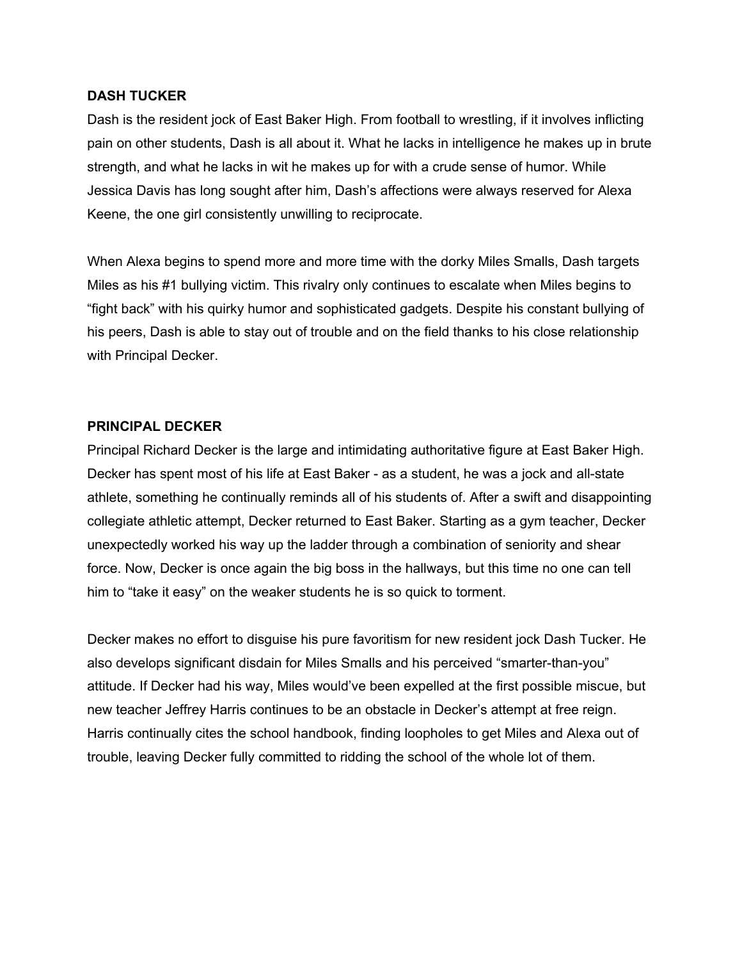#### **DASH TUCKER**

Dash is the resident jock of East Baker High. From football to wrestling, if it involves inflicting pain on other students, Dash is all about it. What he lacks in intelligence he makes up in brute strength, and what he lacks in wit he makes up for with a crude sense of humor. While Jessica Davis has long sought after him, Dash's affections were always reserved for Alexa Keene, the one girl consistently unwilling to reciprocate.

When Alexa begins to spend more and more time with the dorky Miles Smalls, Dash targets Miles as his #1 bullying victim. This rivalry only continues to escalate when Miles begins to "fight back" with his quirky humor and sophisticated gadgets. Despite his constant bullying of his peers, Dash is able to stay out of trouble and on the field thanks to his close relationship with Principal Decker.

#### **PRINCIPAL DECKER**

Principal Richard Decker is the large and intimidating authoritative figure at East Baker High. Decker has spent most of his life at East Baker - as a student, he was a jock and all-state athlete, something he continually reminds all of his students of. After a swift and disappointing collegiate athletic attempt, Decker returned to East Baker. Starting as a gym teacher, Decker unexpectedly worked his way up the ladder through a combination of seniority and shear force. Now, Decker is once again the big boss in the hallways, but this time no one can tell him to "take it easy" on the weaker students he is so quick to torment.

Decker makes no effort to disguise his pure favoritism for new resident jock Dash Tucker. He also develops significant disdain for Miles Smalls and his perceived "smarter-than-you" attitude. If Decker had his way, Miles would've been expelled at the first possible miscue, but new teacher Jeffrey Harris continues to be an obstacle in Decker's attempt at free reign. Harris continually cites the school handbook, finding loopholes to get Miles and Alexa out of trouble, leaving Decker fully committed to ridding the school of the whole lot of them.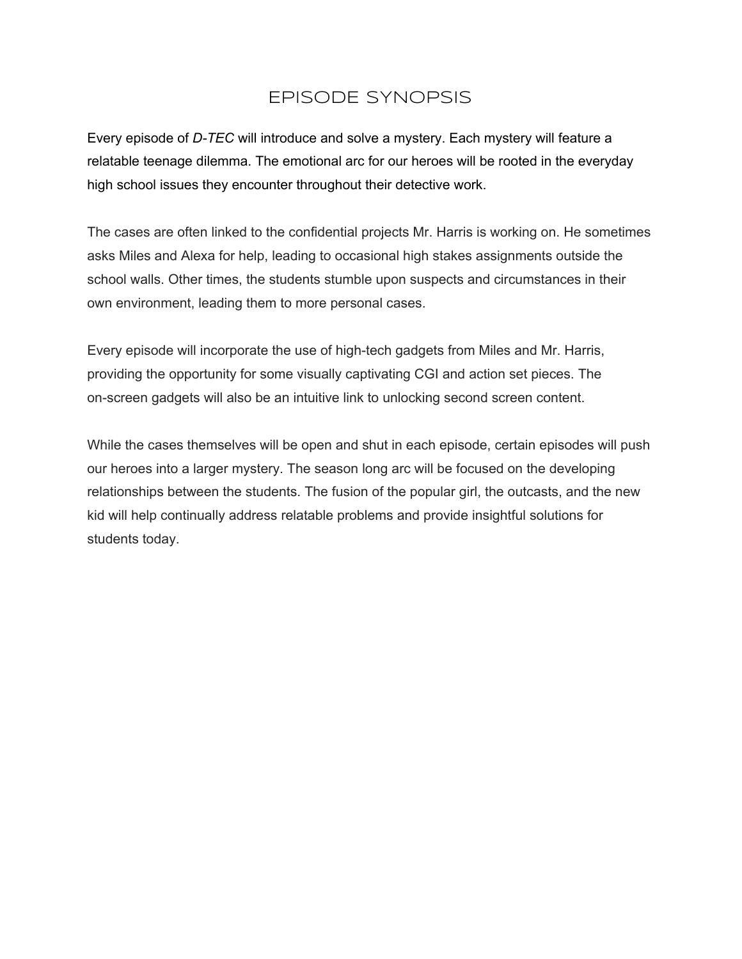# EPISODE SYNOPSIS

Every episode of *D-TEC* will introduce and solve a mystery. Each mystery will feature a relatable teenage dilemma. The emotional arc for our heroes will be rooted in the everyday high school issues they encounter throughout their detective work.

The cases are often linked to the confidential projects Mr. Harris is working on. He sometimes asks Miles and Alexa for help, leading to occasional high stakes assignments outside the school walls. Other times, the students stumble upon suspects and circumstances in their own environment, leading them to more personal cases.

Every episode will incorporate the use of high-tech gadgets from Miles and Mr. Harris, providing the opportunity for some visually captivating CGI and action set pieces. The on-screen gadgets will also be an intuitive link to unlocking second screen content.

While the cases themselves will be open and shut in each episode, certain episodes will push our heroes into a larger mystery. The season long arc will be focused on the developing relationships between the students. The fusion of the popular girl, the outcasts, and the new kid will help continually address relatable problems and provide insightful solutions for students today.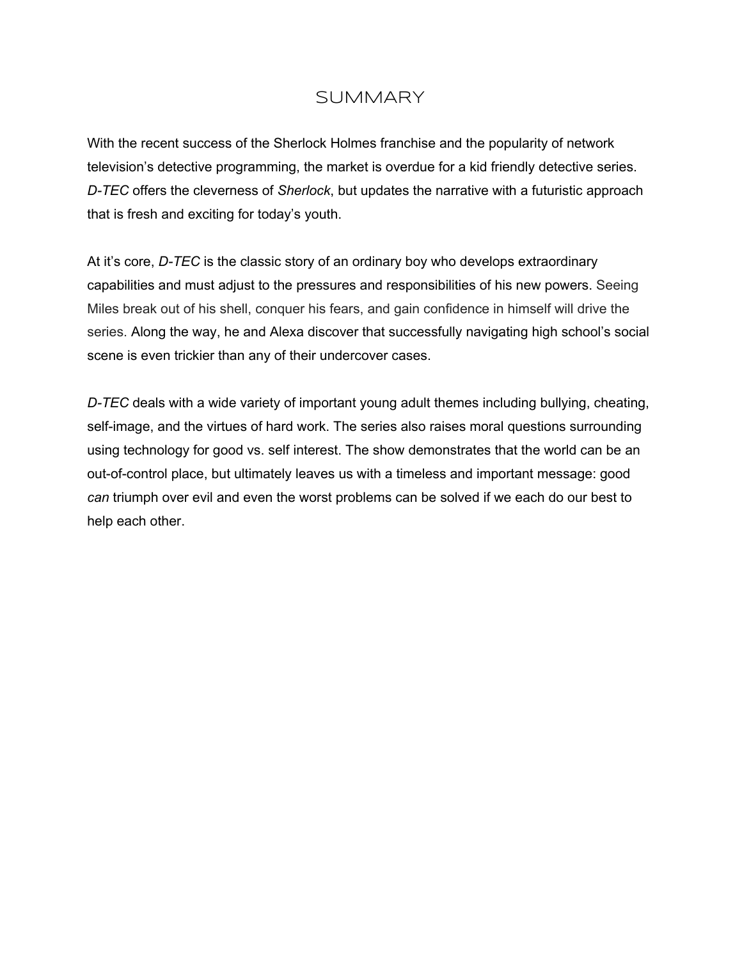## **SUMMARY**

With the recent success of the Sherlock Holmes franchise and the popularity of network television's detective programming, the market is overdue for a kid friendly detective series. *DTEC* offers the cleverness of *Sherlock*, but updates the narrative with a futuristic approach that is fresh and exciting for today's youth.

At it's core, *D-TEC* is the classic story of an ordinary boy who develops extraordinary capabilities and must adjust to the pressures and responsibilities of his new powers. Seeing Miles break out of his shell, conquer his fears, and gain confidence in himself will drive the series. Along the way, he and Alexa discover that successfully navigating high school's social scene is even trickier than any of their undercover cases.

*DTEC* deals with a wide variety of important young adult themes including bullying, cheating, self-image, and the virtues of hard work. The series also raises moral questions surrounding using technology for good vs. self interest. The show demonstrates that the world can be an out-of-control place, but ultimately leaves us with a timeless and important message: good *can* triumph over evil and even the worst problems can be solved if we each do our best to help each other.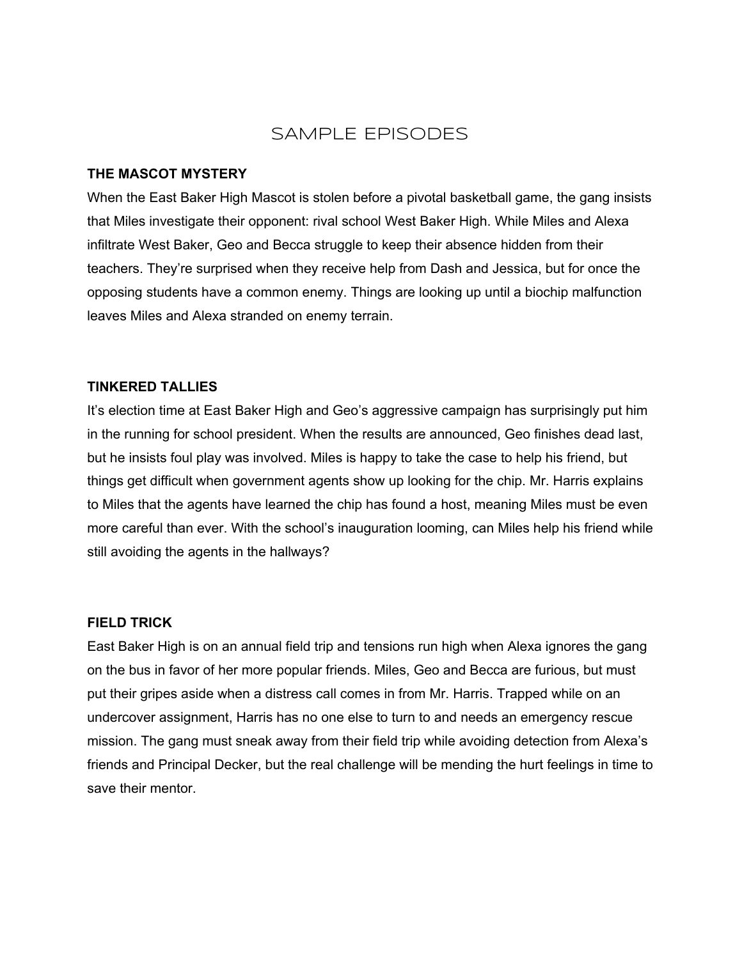### SAMPLE EPISODES

#### **THE MASCOT MYSTERY**

When the East Baker High Mascot is stolen before a pivotal basketball game, the gang insists that Miles investigate their opponent: rival school West Baker High. While Miles and Alexa infiltrate West Baker, Geo and Becca struggle to keep their absence hidden from their teachers. They're surprised when they receive help from Dash and Jessica, but for once the opposing students have a common enemy. Things are looking up until a biochip malfunction leaves Miles and Alexa stranded on enemy terrain.

#### **TINKERED TALLIES**

It's election time at East Baker High and Geo's aggressive campaign has surprisingly put him in the running for school president. When the results are announced, Geo finishes dead last, but he insists foul play was involved. Miles is happy to take the case to help his friend, but things get difficult when government agents show up looking for the chip. Mr. Harris explains to Miles that the agents have learned the chip has found a host, meaning Miles must be even more careful than ever. With the school's inauguration looming, can Miles help his friend while still avoiding the agents in the hallways?

#### **FIELD TRICK**

East Baker High is on an annual field trip and tensions run high when Alexa ignores the gang on the bus in favor of her more popular friends. Miles, Geo and Becca are furious, but must put their gripes aside when a distress call comes in from Mr. Harris. Trapped while on an undercover assignment, Harris has no one else to turn to and needs an emergency rescue mission. The gang must sneak away from their field trip while avoiding detection from Alexa's friends and Principal Decker, but the real challenge will be mending the hurt feelings in time to save their mentor.